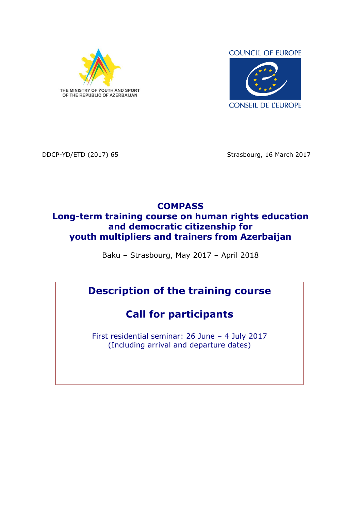

**COUNCIL OF EUROPE** 



DDCP-YD/ETD (2017) 65 Strasbourg, 16 March 2017

## **COMPASS Long-term training course on human rights education and democratic citizenship for youth multipliers and trainers from Azerbaijan**

Baku – Strasbourg, May 2017 – April 2018

# **Description of the training course**

# **Call for participants**

First residential seminar: 26 June – 4 July 2017 (Including arrival and departure dates)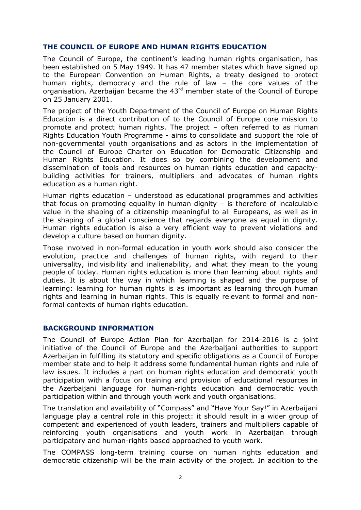#### **THE COUNCIL OF EUROPE AND HUMAN RIGHTS EDUCATION**

The Council of Europe, the continent's leading human rights organisation, has been established on 5 May 1949. It has 47 member states which have signed up to the European Convention on Human Rights, a treaty designed to protect human rights, democracy and the rule of law – the core values of the organisation. Azerbaijan became the 43<sup>rd</sup> member state of the Council of Europe on 25 January 2001.

The project of the Youth Department of the Council of Europe on Human Rights Education is a direct contribution of to the Council of Europe core mission to promote and protect human rights. The project – often referred to as Human Rights Education Youth Programme - aims to consolidate and support the role of non-governmental youth organisations and as actors in the implementation of the Council of Europe Charter on Education for Democratic Citizenship and Human Rights Education. It does so by combining the development and dissemination of tools and resources on human rights education and capacitybuilding activities for trainers, multipliers and advocates of human rights education as a human right.

Human rights education – understood as educational programmes and activities that focus on promoting equality in human dignity – is therefore of incalculable value in the shaping of a citizenship meaningful to all Europeans, as well as in the shaping of a global conscience that regards everyone as equal in dignity. Human rights education is also a very efficient way to prevent violations and develop a culture based on human dignity.

Those involved in non-formal education in youth work should also consider the evolution, practice and challenges of human rights, with regard to their universality, indivisibility and inalienability, and what they mean to the young people of today. Human rights education is more than learning about rights and duties. It is about the way in which learning is shaped and the purpose of learning: learning for human rights is as important as learning through human rights and learning in human rights. This is equally relevant to formal and nonformal contexts of human rights education.

#### **BACKGROUND INFORMATION**

The Council of Europe Action Plan for Azerbaijan for 2014-2016 is a joint initiative of the Council of Europe and the Azerbaijani authorities to support Azerbaijan in fulfilling its statutory and specific obligations as a Council of Europe member state and to help it address some fundamental human rights and rule of law issues. It includes a part on human rights education and democratic youth participation with a focus on training and provision of educational resources in the Azerbaijani language for human-rights education and democratic youth participation within and through youth work and youth organisations.

The translation and availability of "Compass" and "Have Your Say!" in Azerbaijani language play a central role in this project: it should result in a wider group of competent and experienced of youth leaders, trainers and multipliers capable of reinforcing youth organisations and youth work in Azerbaijan through participatory and human-rights based approached to youth work.

The COMPASS long-term training course on human rights education and democratic citizenship will be the main activity of the project. In addition to the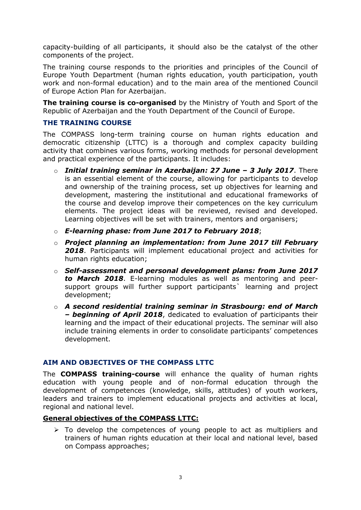capacity-building of all participants, it should also be the catalyst of the other components of the project.

The training course responds to the priorities and principles of the Council of Europe Youth Department (human rights education, youth participation, youth work and non-formal education) and to the main area of the mentioned Council of Europe Action Plan for Azerbaijan.

**The training course is co-organised** by the Ministry of Youth and Sport of the Republic of Azerbaijan and the Youth Department of the Council of Europe.

## **THE TRAINING COURSE**

The COMPASS long-term training course on human rights education and democratic citizenship (LTTC) is a thorough and complex capacity building activity that combines various forms, working methods for personal development and practical experience of the participants. It includes:

- o *Initial training seminar in Azerbaijan: 27 June – 3 July 2017*. There is an essential element of the course, allowing for participants to develop and ownership of the training process, set up objectives for learning and development, mastering the institutional and educational frameworks of the course and develop improve their competences on the key curriculum elements. The project ideas will be reviewed, revised and developed. Learning objectives will be set with trainers, mentors and organisers;
- o *E-learning phase: from June 2017 to February 2018*;
- o *Project planning an implementation: from June 2017 till February 2018*. Participants will implement educational project and activities for human rights education;
- o *Self-assessment and personal development plans: from June 2017 to March 2018*. E-learning modules as well as mentoring and peersupport groups will further support participants` learning and project development;
- o *A second residential training seminar in Strasbourg: end of March – beginning of April 2018*, dedicated to evaluation of participants their learning and the impact of their educational projects. The seminar will also include training elements in order to consolidate participants' competences development.

## **AIM AND OBJECTIVES OF THE COMPASS LTTC**

The **COMPASS training-course** will enhance the quality of human rights education with young people and of non-formal education through the development of competences (knowledge, skills, attitudes) of youth workers, leaders and trainers to implement educational projects and activities at local, regional and national level.

## **General objectives of the COMPASS LTTC:**

 $\triangleright$  To develop the competences of young people to act as multipliers and trainers of human rights education at their local and national level, based on Compass approaches;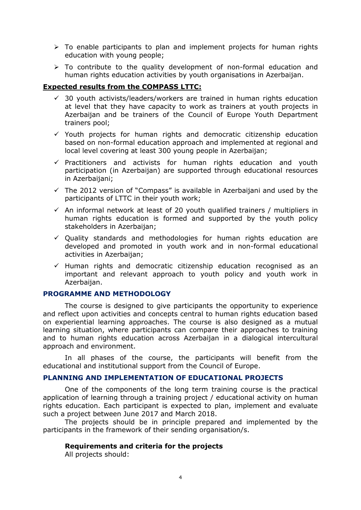- $\triangleright$  To enable participants to plan and implement projects for human rights education with young people;
- > To contribute to the quality development of non-formal education and human rights education activities by youth organisations in Azerbaijan.

## **Expected results from the COMPASS LTTC:**

- $\checkmark$  30 youth activists/leaders/workers are trained in human rights education at level that they have capacity to work as trainers at youth projects in Azerbaijan and be trainers of the Council of Europe Youth Department trainers pool;
- $\checkmark$  Youth projects for human rights and democratic citizenship education based on non-formal education approach and implemented at regional and local level covering at least 300 young people in Azerbaijan;
- $\checkmark$  Practitioners and activists for human rights education and youth participation (in Azerbaijan) are supported through educational resources in Azerbaijani;
- $\checkmark$  The 2012 version of "Compass" is available in Azerbaijani and used by the participants of LTTC in their youth work;
- $\checkmark$  An informal network at least of 20 youth qualified trainers / multipliers in human rights education is formed and supported by the youth policy stakeholders in Azerbaijan;
- $\checkmark$  Quality standards and methodologies for human rights education are developed and promoted in youth work and in non-formal educational activities in Azerbaijan;
- $\checkmark$  Human rights and democratic citizenship education recognised as an important and relevant approach to youth policy and youth work in Azerbaijan.

#### **PROGRAMME AND METHODOLOGY**

The course is designed to give participants the opportunity to experience and reflect upon activities and concepts central to human rights education based on experiential learning approaches. The course is also designed as a mutual learning situation, where participants can compare their approaches to training and to human rights education across Azerbaijan in a dialogical intercultural approach and environment.

In all phases of the course, the participants will benefit from the educational and institutional support from the Council of Europe.

#### **PLANNING AND IMPLEMENTATION OF EDUCATIONAL PROJECTS**

One of the components of the long term training course is the practical application of learning through a training project / educational activity on human rights education. Each participant is expected to plan, implement and evaluate such a project between June 2017 and March 2018.

The projects should be in principle prepared and implemented by the participants in the framework of their sending organisation/s.

#### **Requirements and criteria for the projects**

All projects should: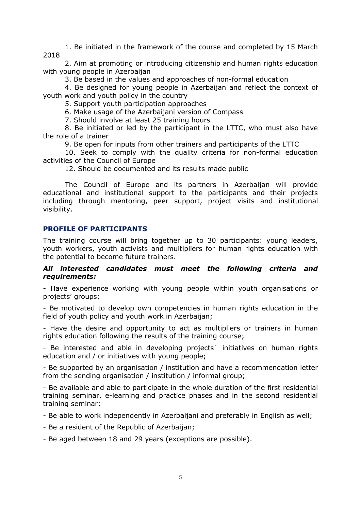1. Be initiated in the framework of the course and completed by 15 March 2018

2. Aim at promoting or introducing citizenship and human rights education with young people in Azerbaijan

3. Be based in the values and approaches of non-formal education

4. Be designed for young people in Azerbaijan and reflect the context of youth work and youth policy in the country

5. Support youth participation approaches

6. Make usage of the Azerbaijani version of Compass

7. Should involve at least 25 training hours

8. Be initiated or led by the participant in the LTTC, who must also have the role of a trainer

9. Be open for inputs from other trainers and participants of the LTTC

10. Seek to comply with the quality criteria for non-formal education activities of the Council of Europe

12. Should be documented and its results made public

The Council of Europe and its partners in Azerbaijan will provide educational and institutional support to the participants and their projects including through mentoring, peer support, project visits and institutional visibility.

### **PROFILE OF PARTICIPANTS**

The training course will bring together up to 30 participants: young leaders, youth workers, youth activists and multipliers for human rights education with the potential to become future trainers.

#### *All interested candidates must meet the following criteria and requirements:*

- Have experience working with young people within youth organisations or projects' groups;

- Be motivated to develop own competencies in human rights education in the field of youth policy and youth work in Azerbaijan;

- Have the desire and opportunity to act as multipliers or trainers in human rights education following the results of the training course;

- Be interested and able in developing projects` initiatives on human rights education and / or initiatives with young people;

- Be supported by an organisation / institution and have a recommendation letter from the sending organisation / institution / informal group;

- Be available and able to participate in the whole duration of the first residential training seminar, e-learning and practice phases and in the second residential training seminar;

- Be able to work independently in Azerbaijani and preferably in English as well;

- Be a resident of the Republic of Azerbaijan;
- Be aged between 18 and 29 years (exceptions are possible).